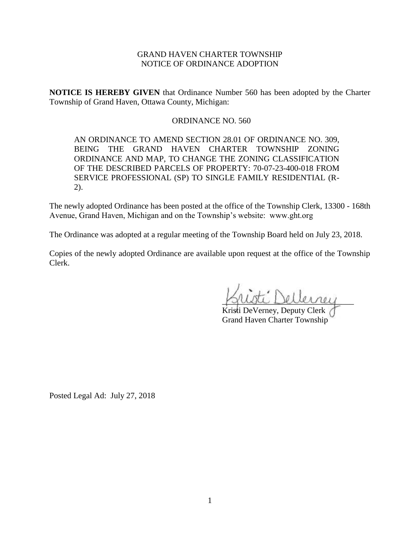# GRAND HAVEN CHARTER TOWNSHIP NOTICE OF ORDINANCE ADOPTION

**NOTICE IS HEREBY GIVEN** that Ordinance Number 560 has been adopted by the Charter Township of Grand Haven, Ottawa County, Michigan:

## ORDINANCE NO. 560

AN ORDINANCE TO AMEND SECTION 28.01 OF ORDINANCE NO. 309, BEING THE GRAND HAVEN CHARTER TOWNSHIP ZONING ORDINANCE AND MAP, TO CHANGE THE ZONING CLASSIFICATION OF THE DESCRIBED PARCELS OF PROPERTY: 70-07-23-400-018 FROM SERVICE PROFESSIONAL (SP) TO SINGLE FAMILY RESIDENTIAL (R-2).

The newly adopted Ordinance has been posted at the office of the Township Clerk, 13300 - 168th Avenue, Grand Haven, Michigan and on the Township's website: www.ght.org

The Ordinance was adopted at a regular meeting of the Township Board held on July 23, 2018.

Copies of the newly adopted Ordinance are available upon request at the office of the Township Clerk.

 $\therefore$  Dellerne

Kristi DeVerney, Deputy Clerk Grand Haven Charter Township

Posted Legal Ad: July 27, 2018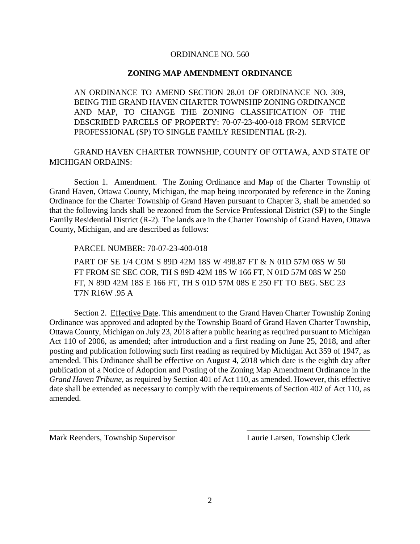#### ORDINANCE NO. 560

### **ZONING MAP AMENDMENT ORDINANCE**

AN ORDINANCE TO AMEND SECTION 28.01 OF ORDINANCE NO. 309, BEING THE GRAND HAVEN CHARTER TOWNSHIP ZONING ORDINANCE AND MAP, TO CHANGE THE ZONING CLASSIFICATION OF THE DESCRIBED PARCELS OF PROPERTY: 70-07-23-400-018 FROM SERVICE PROFESSIONAL (SP) TO SINGLE FAMILY RESIDENTIAL (R-2).

GRAND HAVEN CHARTER TOWNSHIP, COUNTY OF OTTAWA, AND STATE OF MICHIGAN ORDAINS:

Section 1. Amendment. The Zoning Ordinance and Map of the Charter Township of Grand Haven, Ottawa County, Michigan, the map being incorporated by reference in the Zoning Ordinance for the Charter Township of Grand Haven pursuant to Chapter 3, shall be amended so that the following lands shall be rezoned from the Service Professional District (SP) to the Single Family Residential District (R-2). The lands are in the Charter Township of Grand Haven, Ottawa County, Michigan, and are described as follows:

PARCEL NUMBER: 70-07-23-400-018

PART OF SE 1/4 COM S 89D 42M 18S W 498.87 FT & N 01D 57M 08S W 50 FT FROM SE SEC COR, TH S 89D 42M 18S W 166 FT, N 01D 57M 08S W 250 FT, N 89D 42M 18S E 166 FT, TH S 01D 57M 08S E 250 FT TO BEG. SEC 23 T7N R16W .95 A

Section 2. Effective Date. This amendment to the Grand Haven Charter Township Zoning Ordinance was approved and adopted by the Township Board of Grand Haven Charter Township, Ottawa County, Michigan on July 23, 2018 after a public hearing as required pursuant to Michigan Act 110 of 2006, as amended; after introduction and a first reading on June 25, 2018, and after posting and publication following such first reading as required by Michigan Act 359 of 1947, as amended. This Ordinance shall be effective on August 4, 2018 which date is the eighth day after publication of a Notice of Adoption and Posting of the Zoning Map Amendment Ordinance in the *Grand Haven Tribune*, as required by Section 401 of Act 110, as amended. However, this effective date shall be extended as necessary to comply with the requirements of Section 402 of Act 110, as amended.

\_\_\_\_\_\_\_\_\_\_\_\_\_\_\_\_\_\_\_\_\_\_\_\_\_\_\_\_\_\_\_ \_\_\_\_\_\_\_\_\_\_\_\_\_\_\_\_\_\_\_\_\_\_\_\_\_\_\_\_\_\_

Mark Reenders, Township Supervisor Laurie Larsen, Township Clerk